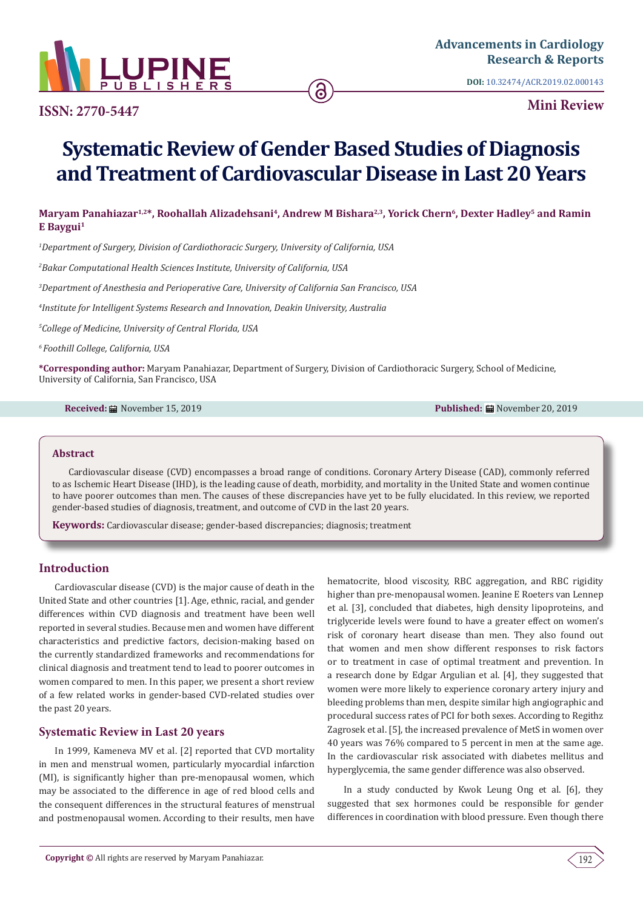

**ISSN: 2770-5447**

**DOI:** [10.32474/ACR.2019.02.000143](http://dx.doi.org/10.32474/ACR.2019.02.000143)

**Mini Review**

# **Systematic Review of Gender Based Studies of Diagnosis and Treatment of Cardiovascular Disease in Last 20 Years**

## Maryam Panahiazar<sup>1,2\*</sup>, Roohallah Alizadehsani<sup>4</sup>, Andrew M Bishara<sup>2,3</sup>, Yorick Chern<sup>6</sup>, Dexter Hadley<sup>5</sup> and Ramin **E Baygui1**

*1 Department of Surgery, Division of Cardiothoracic Surgery, University of California, USA*

*2 Bakar Computational Health Sciences Institute, University of California, USA* 

*3 Department of Anesthesia and Perioperative Care, University of California San Francisco, USA*

*4 Institute for Intelligent Systems Research and Innovation, Deakin University, Australia*

*5 College of Medicine, University of Central Florida, USA*

*6 Foothill College, California, USA*

**\*Corresponding author:** Maryam Panahiazar, Department of Surgery, Division of Cardiothoracic Surgery, School of Medicine, University of California, San Francisco, USA

**Received:** November 15, 2019 **Published:** November 20, 2019

#### **Abstract**

Cardiovascular disease (CVD) encompasses a broad range of conditions. Coronary Artery Disease (CAD), commonly referred to as Ischemic Heart Disease (IHD), is the leading cause of death, morbidity, and mortality in the United State and women continue to have poorer outcomes than men. The causes of these discrepancies have yet to be fully elucidated. In this review, we reported gender-based studies of diagnosis, treatment, and outcome of CVD in the last 20 years.

**Keywords:** Cardiovascular disease; gender-based discrepancies; diagnosis; treatment

#### **Introduction**

Cardiovascular disease (CVD) is the major cause of death in the United State and other countries [1]. Age, ethnic, racial, and gender differences within CVD diagnosis and treatment have been well reported in several studies. Because men and women have different characteristics and predictive factors, decision-making based on the currently standardized frameworks and recommendations for clinical diagnosis and treatment tend to lead to poorer outcomes in women compared to men. In this paper, we present a short review of a few related works in gender-based CVD-related studies over the past 20 years.

## **Systematic Review in Last 20 years**

In 1999, Kameneva MV et al. [2] reported that CVD mortality in men and menstrual women, particularly myocardial infarction (MI), is significantly higher than pre-menopausal women, which may be associated to the difference in age of red blood cells and the consequent differences in the structural features of menstrual and postmenopausal women. According to their results, men have

hematocrite, blood viscosity, RBC aggregation, and RBC rigidity higher than pre-menopausal women. Jeanine E Roeters van Lennep et al. [3], concluded that diabetes, high density lipoproteins, and triglyceride levels were found to have a greater effect on women's risk of coronary heart disease than men. They also found out that women and men show different responses to risk factors or to treatment in case of optimal treatment and prevention. In a research done by Edgar Argulian et al. [4], they suggested that women were more likely to experience coronary artery injury and bleeding problems than men, despite similar high angiographic and procedural success rates of PCI for both sexes. According to Regithz Zagrosek et al. [5], the increased prevalence of MetS in women over 40 years was 76% compared to 5 percent in men at the same age. In the cardiovascular risk associated with diabetes mellitus and hyperglycemia, the same gender difference was also observed.

In a study conducted by Kwok Leung Ong et al. [6], they suggested that sex hormones could be responsible for gender differences in coordination with blood pressure. Even though there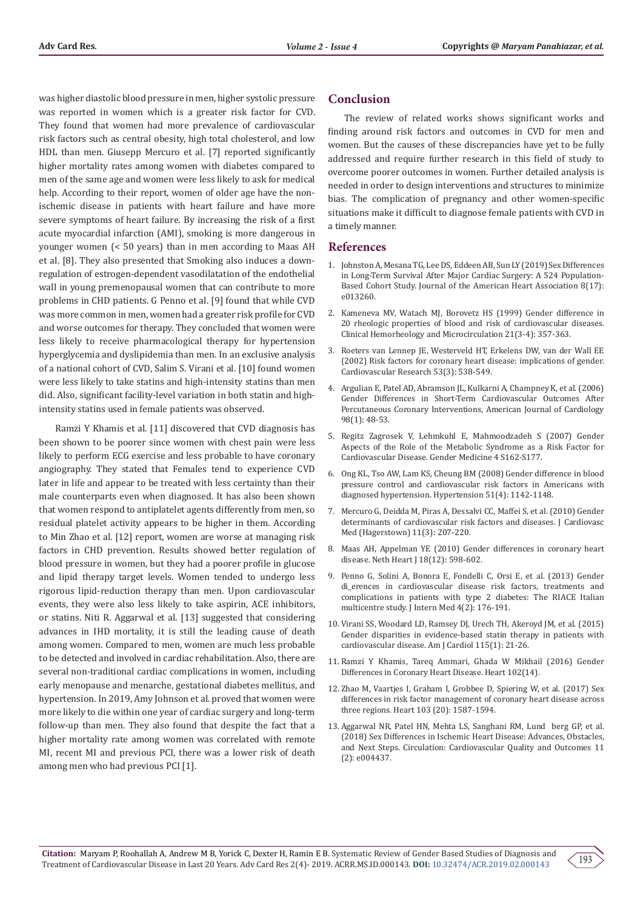was higher diastolic blood pressure in men, higher systolic pressure was reported in women which is a greater risk factor for CVD. They found that women had more prevalence of cardiovascular risk factors such as central obesity, high total cholesterol, and low HDL than men. Giusepp Mercuro et al. [7] reported significantly higher mortality rates among women with diabetes compared to men of the same age and women were less likely to ask for medical help. According to their report, women of older age have the nonischemic disease in patients with heart failure and have more severe symptoms of heart failure. By increasing the risk of a first acute myocardial infarction (AMI), smoking is more dangerous in younger women (< 50 years) than in men according to Maas AH et al. [8]. They also presented that Smoking also induces a downregulation of estrogen-dependent vasodilatation of the endothelial wall in young premenopausal women that can contribute to more problems in CHD patients. G Penno et al. [9] found that while CVD was more common in men, women had a greater risk profile for CVD and worse outcomes for therapy. They concluded that women were less likely to receive pharmacological therapy for hypertension hyperglycemia and dyslipidemia than men. In an exclusive analysis of a national cohort of CVD, Salim S. Virani et al. [10] found women were less likely to take statins and high-intensity statins than men did. Also, significant facility-level variation in both statin and highintensity statins used in female patients was observed.

Ramzi Y Khamis et al. [11] discovered that CVD diagnosis has been shown to be poorer since women with chest pain were less likely to perform ECG exercise and less probable to have coronary angiography. They stated that Females tend to experience CVD later in life and appear to be treated with less certainty than their male counterparts even when diagnosed. It has also been shown that women respond to antiplatelet agents differently from men, so residual platelet activity appears to be higher in them. According to Min Zhao et al. [12] report, women are worse at managing risk factors in CHD prevention. Results showed better regulation of blood pressure in women, but they had a poorer profile in glucose and lipid therapy target levels. Women tended to undergo less rigorous lipid-reduction therapy than men. Upon cardiovascular events, they were also less likely to take aspirin, ACE inhibitors, or statins. Niti R. Aggarwal et al. [13] suggested that considering advances in IHD mortality, it is still the leading cause of death among women. Compared to men, women are much less probable to be detected and involved in cardiac rehabilitation. Also, there are several non-traditional cardiac complications in women, including early menopause and menarche, gestational diabetes mellitus, and hypertension. In 2019, Amy Johnson et al. proved that women were more likely to die within one year of cardiac surgery and long-term follow-up than men. They also found that despite the fact that a higher mortality rate among women was correlated with remote MI, recent MI and previous PCI, there was a lower risk of death among men who had previous PCI [1].

#### **Conclusion**

The review of related works shows significant works and finding around risk factors and outcomes in CVD for men and women. But the causes of these discrepancies have yet to be fully addressed and require further research in this field of study to overcome poorer outcomes in women. Further detailed analysis is needed in order to design interventions and structures to minimize bias. The complication of pregnancy and other women-specific situations make it difficult to diagnose female patients with CVD in a timely manner.

#### **References**

- 1. [Johnston A, Mesana TG, Lee DS, Eddeen AB, Sun LY \(2019\) Sex Differences](https://www.ncbi.nlm.nih.gov/pubmed/31438770)  [in Long-Term Survival After Major Cardiac Surgery: A 524 Population-](https://www.ncbi.nlm.nih.gov/pubmed/31438770)[Based Cohort Study. Journal of the American Heart Association 8\(17\):](https://www.ncbi.nlm.nih.gov/pubmed/31438770)  [e013260.](https://www.ncbi.nlm.nih.gov/pubmed/31438770)
- 2. [Kameneva MV, Watach MJ, Borovetz HS \(1999\) Gender difference in](https://www.ncbi.nlm.nih.gov/pubmed/10711771)  [20 rheologic properties of blood and risk of cardiovascular diseases.](https://www.ncbi.nlm.nih.gov/pubmed/10711771)  [Clinical Hemorheology and Microcirculation 21\(3-4\): 357-363.](https://www.ncbi.nlm.nih.gov/pubmed/10711771)
- 3. [Roeters van Lennep JE, Westerveld HT, Erkelens DW, van der Wall EE](https://www.ncbi.nlm.nih.gov/pubmed/11861024)  [\(2002\) Risk factors for coronary heart disease: implications of gender.](https://www.ncbi.nlm.nih.gov/pubmed/11861024)  [Cardiovascular Research 53\(3\): 538-549.](https://www.ncbi.nlm.nih.gov/pubmed/11861024)
- 4. [Argulian E, Patel AD, Abramson JL, Kulkarni A, Champney K, et al. \(2006\)](https://www.ncbi.nlm.nih.gov/pubmed/16784919)  [Gender Differences in Short-Term Cardiovascular Outcomes After](https://www.ncbi.nlm.nih.gov/pubmed/16784919)  [Percutaneous Coronary Interventions, American Journal of Cardiology](https://www.ncbi.nlm.nih.gov/pubmed/16784919)  [98\(1\): 48-53.](https://www.ncbi.nlm.nih.gov/pubmed/16784919)
- 5. [Regitz Zagrosek V, Lehmkuhl E, Mahmoodzadeh S \(2007\) Gender](https://www.ncbi.nlm.nih.gov/pubmed/18156101)  [Aspects of the Role of the Metabolic Syndrome as a Risk Factor for](https://www.ncbi.nlm.nih.gov/pubmed/18156101)  [Cardiovascular Disease. Gender Medicine 4 S162-S177.](https://www.ncbi.nlm.nih.gov/pubmed/18156101)
- 6. [Ong KL, Tso AW, Lam KS, Cheung BM \(2008\) Gender difference in blood](https://www.ncbi.nlm.nih.gov/pubmed/18259031)  [pressure control and cardiovascular risk factors in Americans with](https://www.ncbi.nlm.nih.gov/pubmed/18259031)  [diagnosed hypertension. Hypertension 51\(4\): 1142-1148.](https://www.ncbi.nlm.nih.gov/pubmed/18259031)
- 7. [Mercuro G, Deidda M, Piras A, Dessalvi CC, Maffei S, et al. \(2010\) Gender](https://www.ncbi.nlm.nih.gov/pubmed/19829128)  [determinants of cardiovascular risk factors and diseases. J Cardiovasc](https://www.ncbi.nlm.nih.gov/pubmed/19829128)  [Med \(Hagerstown\) 11\(3\): 207-220.](https://www.ncbi.nlm.nih.gov/pubmed/19829128)
- 8. [Maas AH, Appelman YE \(2010\) Gender differences in coronary heart](https://www.ncbi.nlm.nih.gov/pubmed/21301622/)  [disease. Neth Heart J 18\(12\): 598-602.](https://www.ncbi.nlm.nih.gov/pubmed/21301622/)
- 9. [Penno G, Solini A, Bonora E, Fondelli C, Orsi E, et al. \(2013\) Gender](https://www.ncbi.nlm.nih.gov/pubmed/23565931)  [di\\_erences in cardiovascular disease risk factors, treatments and](https://www.ncbi.nlm.nih.gov/pubmed/23565931)  [complications in patients with type 2 diabetes: The RIACE Italian](https://www.ncbi.nlm.nih.gov/pubmed/23565931)  [multicentre study. J Intern Med 4\(2\): 176-191.](https://www.ncbi.nlm.nih.gov/pubmed/23565931)
- 10. [Virani SS, Woodard LD, Ramsey DJ, Urech TH, Akeroyd JM, et al. \(2015\)](https://www.ncbi.nlm.nih.gov/pubmed/25456865)  [Gender disparities in evidence-based statin therapy in patients with](https://www.ncbi.nlm.nih.gov/pubmed/25456865)  [cardiovascular disease. Am J Cardiol 115\(1\): 21-26.](https://www.ncbi.nlm.nih.gov/pubmed/25456865)
- 11. [Ramzi Y Khamis, Tareq Ammari, Ghada W Mikhail \(2016\) Gender](https://heart.bmj.com/content/102/14/1142)  [Differences in Coronary Heart Disease. Heart 102\(14\).](https://heart.bmj.com/content/102/14/1142)
- 12. [Zhao M, Vaartjes I, Graham I, Grobbee D, Spiering W, et al. \(2017\) Sex](https://www.ncbi.nlm.nih.gov/pubmed/28931567)  [differences in risk factor management of coronary heart disease across](https://www.ncbi.nlm.nih.gov/pubmed/28931567)  [three regions. Heart 103 \(20\): 1587-1594.](https://www.ncbi.nlm.nih.gov/pubmed/28931567)
- 13. [Aggarwal NR, Patel HN, Mehta LS, Sanghani RM, Lund berg GP, et al.](https://www.ncbi.nlm.nih.gov/pubmed/29449443)  [\(2018\) Sex Differences in Ischemic Heart Disease: Advances, Obstacles,](https://www.ncbi.nlm.nih.gov/pubmed/29449443)  [and Next Steps. Circulation: Cardiovascular Quality and Outcomes 11](https://www.ncbi.nlm.nih.gov/pubmed/29449443)  [\(2\): e004437.](https://www.ncbi.nlm.nih.gov/pubmed/29449443)

193